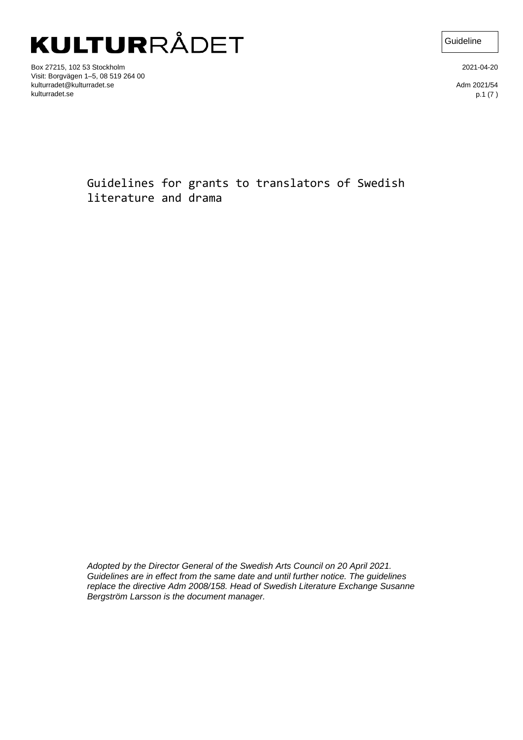Box 27215, 102 53 Stockholm Visit: Borgvägen 1–5, 08 519 264 00 kulturradet@kulturradet.se kulturradet.se

2021-04-20

**Guideline** 

Adm 2021/54 p.1 (7 )

Guidelines for grants to translators of Swedish literature and drama

*Adopted by the Director General of the Swedish Arts Council on 20 April 2021. Guidelines are in effect from the same date and until further notice. The guidelines replace the directive Adm 2008/158. Head of Swedish Literature Exchange Susanne Bergström Larsson is the document manager.*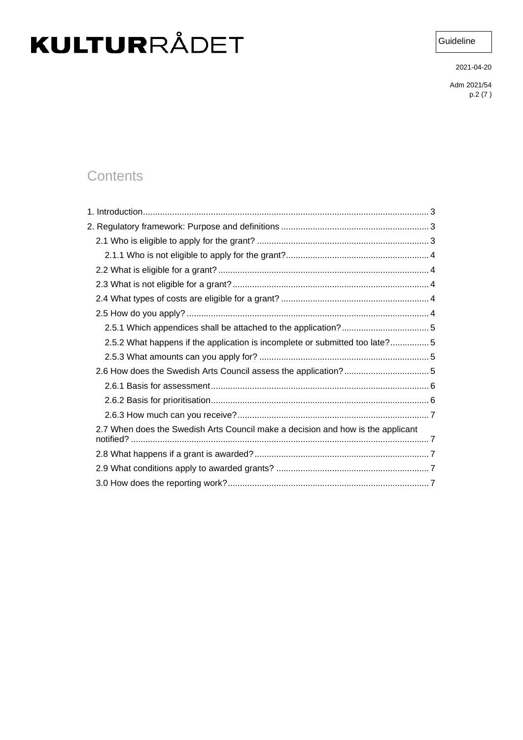**Guideline** 

2021-04-20

Adm 2021/54 p.2 (7 )

### **Contents**

| 2.5.2 What happens if the application is incomplete or submitted too late?5     |  |
|---------------------------------------------------------------------------------|--|
|                                                                                 |  |
|                                                                                 |  |
|                                                                                 |  |
|                                                                                 |  |
|                                                                                 |  |
| 2.7 When does the Swedish Arts Council make a decision and how is the applicant |  |
|                                                                                 |  |
|                                                                                 |  |
|                                                                                 |  |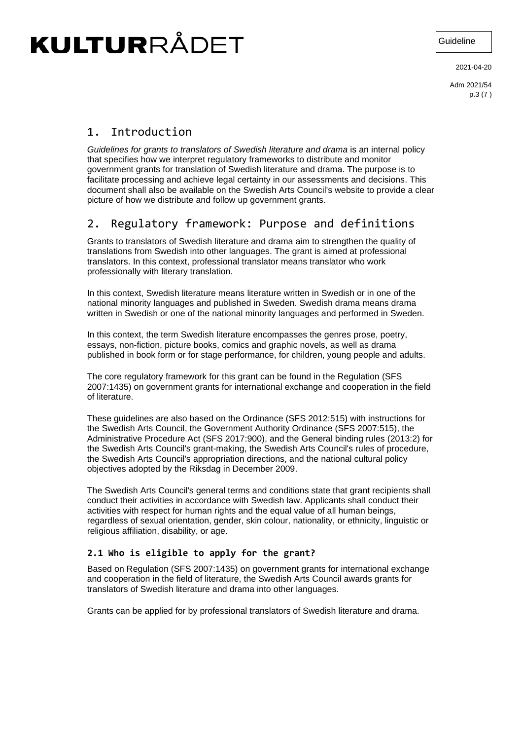Guideline

2021-04-20

Adm 2021/54 p.3 (7 )

### <span id="page-2-0"></span>1. Introduction

*Guidelines for grants to translators of Swedish literature and drama* is an internal policy that specifies how we interpret regulatory frameworks to distribute and monitor government grants for translation of Swedish literature and drama. The purpose is to facilitate processing and achieve legal certainty in our assessments and decisions. This document shall also be available on the Swedish Arts Council's website to provide a clear picture of how we distribute and follow up government grants.

### <span id="page-2-1"></span>2. Regulatory framework: Purpose and definitions

Grants to translators of Swedish literature and drama aim to strengthen the quality of translations from Swedish into other languages. The grant is aimed at professional translators. In this context, professional translator means translator who work professionally with literary translation.

In this context, Swedish literature means literature written in Swedish or in one of the national minority languages and published in Sweden. Swedish drama means drama written in Swedish or one of the national minority languages and performed in Sweden.

In this context, the term Swedish literature encompasses the genres prose, poetry, essays, non-fiction, picture books, comics and graphic novels, as well as drama published in book form or for stage performance, for children, young people and adults.

The core regulatory framework for this grant can be found in the Regulation (SFS 2007:1435) on government grants for international exchange and cooperation in the field of literature.

These guidelines are also based on the Ordinance (SFS 2012:515) with instructions for the Swedish Arts Council, the Government Authority Ordinance (SFS 2007:515), the Administrative Procedure Act (SFS 2017:900), and the General binding rules (2013:2) for the Swedish Arts Council's grant-making, the Swedish Arts Council's rules of procedure, the Swedish Arts Council's appropriation directions, and the national cultural policy objectives adopted by the Riksdag in December 2009.

The Swedish Arts Council's general terms and conditions state that grant recipients shall conduct their activities in accordance with Swedish law. Applicants shall conduct their activities with respect for human rights and the equal value of all human beings, regardless of sexual orientation, gender, skin colour, nationality, or ethnicity, linguistic or religious affiliation, disability, or age.

#### <span id="page-2-2"></span>**2.1 Who is eligible to apply for the grant?**

Based on Regulation (SFS 2007:1435) on government grants for international exchange and cooperation in the field of literature, the Swedish Arts Council awards grants for translators of Swedish literature and drama into other languages.

Grants can be applied for by professional translators of Swedish literature and drama.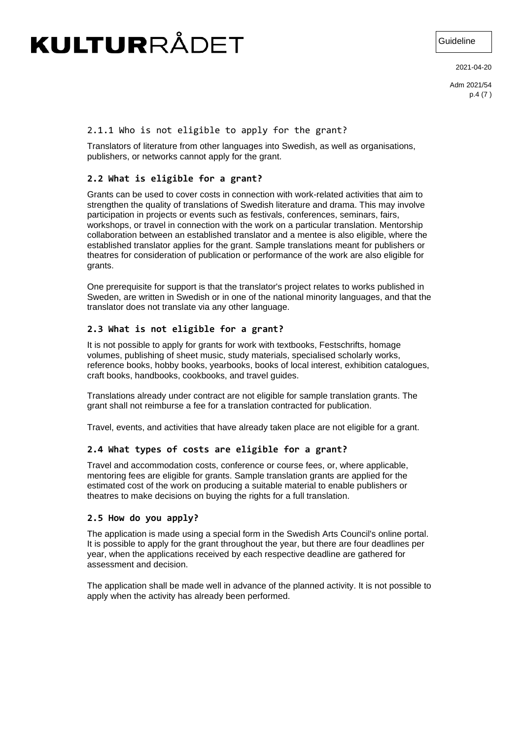Guideline

2021-04-20

Adm 2021/54 p.4 (7 )

#### <span id="page-3-0"></span>2.1.1 Who is not eligible to apply for the grant?

Translators of literature from other languages into Swedish, as well as organisations, publishers, or networks cannot apply for the grant.

#### <span id="page-3-1"></span>**2.2 What is eligible for a grant?**

Grants can be used to cover costs in connection with work-related activities that aim to strengthen the quality of translations of Swedish literature and drama. This may involve participation in projects or events such as festivals, conferences, seminars, fairs, workshops, or travel in connection with the work on a particular translation. Mentorship collaboration between an established translator and a mentee is also eligible, where the established translator applies for the grant. Sample translations meant for publishers or theatres for consideration of publication or performance of the work are also eligible for grants.

One prerequisite for support is that the translator's project relates to works published in Sweden, are written in Swedish or in one of the national minority languages, and that the translator does not translate via any other language.

#### <span id="page-3-2"></span>**2.3 What is not eligible for a grant?**

It is not possible to apply for grants for work with textbooks, Festschrifts, homage volumes, publishing of sheet music, study materials, specialised scholarly works, reference books, hobby books, yearbooks, books of local interest, exhibition catalogues, craft books, handbooks, cookbooks, and travel guides.

Translations already under contract are not eligible for sample translation grants. The grant shall not reimburse a fee for a translation contracted for publication.

Travel, events, and activities that have already taken place are not eligible for a grant.

#### <span id="page-3-3"></span>**2.4 What types of costs are eligible for a grant?**

Travel and accommodation costs, conference or course fees, or, where applicable, mentoring fees are eligible for grants. Sample translation grants are applied for the estimated cost of the work on producing a suitable material to enable publishers or theatres to make decisions on buying the rights for a full translation.

#### <span id="page-3-4"></span>**2.5 How do you apply?**

The application is made using a special form in the Swedish Arts Council's online portal. It is possible to apply for the grant throughout the year, but there are four deadlines per year, when the applications received by each respective deadline are gathered for assessment and decision.

The application shall be made well in advance of the planned activity. It is not possible to apply when the activity has already been performed.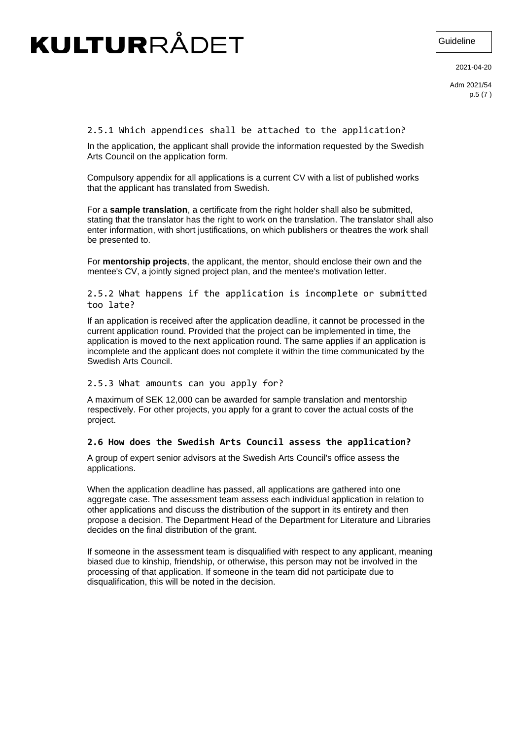Guideline

2021-04-20

Adm 2021/54 p.5 (7 )

#### <span id="page-4-0"></span>2.5.1 Which appendices shall be attached to the application?

In the application, the applicant shall provide the information requested by the Swedish Arts Council on the application form.

Compulsory appendix for all applications is a current CV with a list of published works that the applicant has translated from Swedish.

For a **sample translation**, a certificate from the right holder shall also be submitted, stating that the translator has the right to work on the translation. The translator shall also enter information, with short justifications, on which publishers or theatres the work shall be presented to.

For **mentorship projects**, the applicant, the mentor, should enclose their own and the mentee's CV, a jointly signed project plan, and the mentee's motivation letter.

<span id="page-4-1"></span>2.5.2 What happens if the application is incomplete or submitted too late?

If an application is received after the application deadline, it cannot be processed in the current application round. Provided that the project can be implemented in time, the application is moved to the next application round. The same applies if an application is incomplete and the applicant does not complete it within the time communicated by the Swedish Arts Council.

#### <span id="page-4-2"></span>2.5.3 What amounts can you apply for?

A maximum of SEK 12,000 can be awarded for sample translation and mentorship respectively. For other projects, you apply for a grant to cover the actual costs of the project.

#### <span id="page-4-3"></span>**2.6 How does the Swedish Arts Council assess the application?**

A group of expert senior advisors at the Swedish Arts Council's office assess the applications.

When the application deadline has passed, all applications are gathered into one aggregate case. The assessment team assess each individual application in relation to other applications and discuss the distribution of the support in its entirety and then propose a decision. The Department Head of the Department for Literature and Libraries decides on the final distribution of the grant.

If someone in the assessment team is disqualified with respect to any applicant, meaning biased due to kinship, friendship, or otherwise, this person may not be involved in the processing of that application. If someone in the team did not participate due to disqualification, this will be noted in the decision.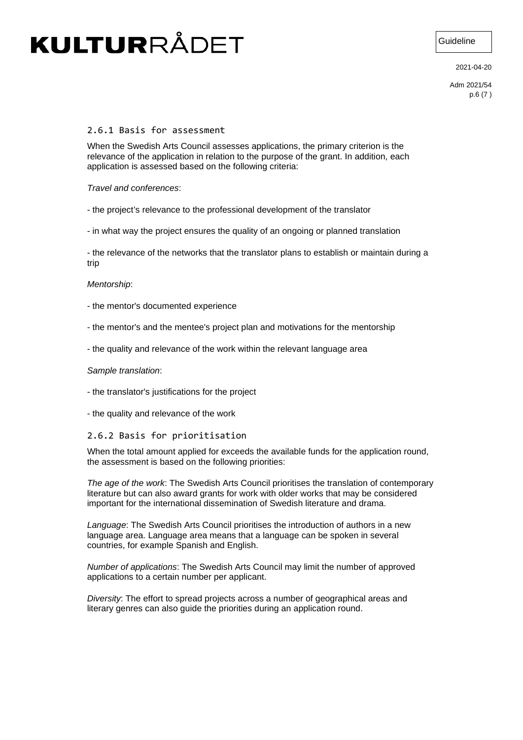Guideline

2021-04-20

Adm 2021/54 p.6 (7 )

#### <span id="page-5-0"></span>2.6.1 Basis for assessment

When the Swedish Arts Council assesses applications, the primary criterion is the relevance of the application in relation to the purpose of the grant. In addition, each application is assessed based on the following criteria:

#### *Travel and conferences*:

- the project's relevance to the professional development of the translator

- in what way the project ensures the quality of an ongoing or planned translation

- the relevance of the networks that the translator plans to establish or maintain during a trip

#### *Mentorship*:

- the mentor's documented experience
- the mentor's and the mentee's project plan and motivations for the mentorship
- the quality and relevance of the work within the relevant language area

#### *Sample translation*:

- the translator's justifications for the project
- the quality and relevance of the work

#### <span id="page-5-1"></span>2.6.2 Basis for prioritisation

When the total amount applied for exceeds the available funds for the application round, the assessment is based on the following priorities:

*The age of the work*: The Swedish Arts Council prioritises the translation of contemporary literature but can also award grants for work with older works that may be considered important for the international dissemination of Swedish literature and drama.

*Language*: The Swedish Arts Council prioritises the introduction of authors in a new language area. Language area means that a language can be spoken in several countries, for example Spanish and English.

*Number of applications*: The Swedish Arts Council may limit the number of approved applications to a certain number per applicant.

*Diversity*: The effort to spread projects across a number of geographical areas and literary genres can also guide the priorities during an application round.